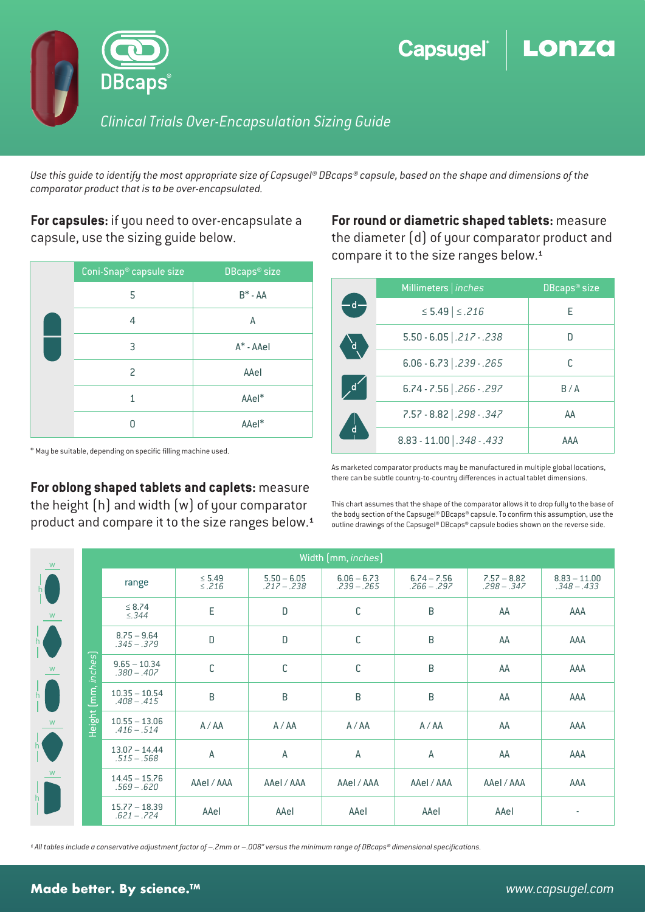

*Use this guide to identify the most appropriate size of Capsugel® DBcaps® capsule, based on the shape and dimensions of the comparator product that is to be over-encapsulated.* 

**For capsules:** if you need to over-encapsulate a capsule, use the sizing guide below.

| Coni-Snap <sup>®</sup> capsule size | DBcaps <sup>®</sup> size |  |  |
|-------------------------------------|--------------------------|--|--|
| 5                                   | $B^*$ - AA               |  |  |
| 4                                   | А                        |  |  |
| 3                                   | A* - AAel                |  |  |
| 2                                   | AAel                     |  |  |
| 1                                   | AAel*                    |  |  |
| Ω                                   | AAel*                    |  |  |

 $*$  May be suitable, depending on specific filling machine used.

**For oblong shaped tablets and caplets:** measure the height (h) and width (w) of your comparator product and compare it to the size ranges below.<sup>1</sup> **For round or diametric shaped tablets:** measure the diameter (d) of your comparator product and compare it to the size ranges below.<sup>1</sup>

|                         | Millimeters   inches         | DBcaps <sup>®</sup> size |  |  |
|-------------------------|------------------------------|--------------------------|--|--|
|                         | ≤ 5.49   ≤ .216              | F                        |  |  |
| ď                       | $5.50 - 6.05$ .217 - .238    |                          |  |  |
|                         | $6.06 - 6.73$ .239 - .265    |                          |  |  |
| O                       | $6.74 - 7.56$ .266 - .297    | B/A                      |  |  |
| $\overline{\mathsf{d}}$ | 7.57 - 8.82   .298 - .347    | AA                       |  |  |
|                         | $8.83 - 11.00$ $.348 - .433$ | <b>AAA</b>               |  |  |

As marketed comparator products may be manufactured in multiple global locations, there can be subtle country-to-country differences in actual tablet dimensions.

This chart assumes that the shape of the comparator allows it to drop fully to the base of the body section of the Capsugel® DBcaps® capsule. To confirm this assumption, use the outline drawings of the Capsugel® DBcaps® capsule bodies shown on the reverse side.

| W                                                          |                                  | Width (mm, inches)                                                                               |                            |                                |                                |                                |                                |                                 |  |  |
|------------------------------------------------------------|----------------------------------|--------------------------------------------------------------------------------------------------|----------------------------|--------------------------------|--------------------------------|--------------------------------|--------------------------------|---------------------------------|--|--|
|                                                            |                                  | range                                                                                            | $\leq$ 5.49<br>$\leq$ .216 | $5.50 - 6.05$<br>$.217 - .238$ | $6.06 - 6.73$<br>$.239 - .265$ | $6.74 - 7.56$<br>$.266 - .297$ | $7.57 - 8.82$<br>$.298 - .347$ | $8.83 - 11.00$<br>$.348 - .433$ |  |  |
| W                                                          |                                  | $\leq 8.74$<br>$\leq$ .344                                                                       | E                          | $\mathsf D$                    | $\mathsf C$                    | B                              | AA                             | AAA                             |  |  |
| h                                                          |                                  | $8.75 - 9.64$<br>$.345 - .379$                                                                   | D                          | $\mathsf D$                    | $\mathsf{C}$                   | B                              | AA                             | AAA                             |  |  |
| W                                                          | inches)                          | $9.65 - 10.34$<br>$.380 - .407$                                                                  | C                          | $\mathbb C$                    | $\mathsf C$                    | B                              | AA                             | AAA                             |  |  |
| $\frac{1}{2}$                                              | (mm,                             | $10.35 - 10.54$<br>$.408 - .415$                                                                 | B                          | $\mathsf B$                    | B                              | B                              | AA                             | AAA                             |  |  |
| W                                                          | Height                           | $10.55 - 13.06$<br>A / AA<br>$.416 - .514$<br>$13.07 - 14.44$<br>$\overline{A}$<br>$.515 - .568$ |                            | A / AA                         | A / AA                         | A / AA                         | AA                             | AAA                             |  |  |
| h                                                          |                                  |                                                                                                  |                            | $\mathsf{A}$                   | $\mathsf{A}$                   | $\mathsf{A}$                   | AA                             | AAA                             |  |  |
| W<br>$\begin{matrix}   &   \\ h &   \\ 1 &   \end{matrix}$ |                                  | $14.45 - 15.76$<br>$.569 - .620$                                                                 | AAeI / AAA                 | AAeI / AAA                     | AAeI / AAA                     | AAeI / AAA                     | AAeI / AAA                     | AAA                             |  |  |
|                                                            | $15.77 - 18.39$<br>$.621 - .724$ | AAel                                                                                             | AAel                       | AAel                           | AAel                           | AAel                           | ٠                              |                                 |  |  |

*¹ All tables include a conservative adjustment factor of –.2mm or –.008" versus the minimum range of DBcaps® dimensional specications.*